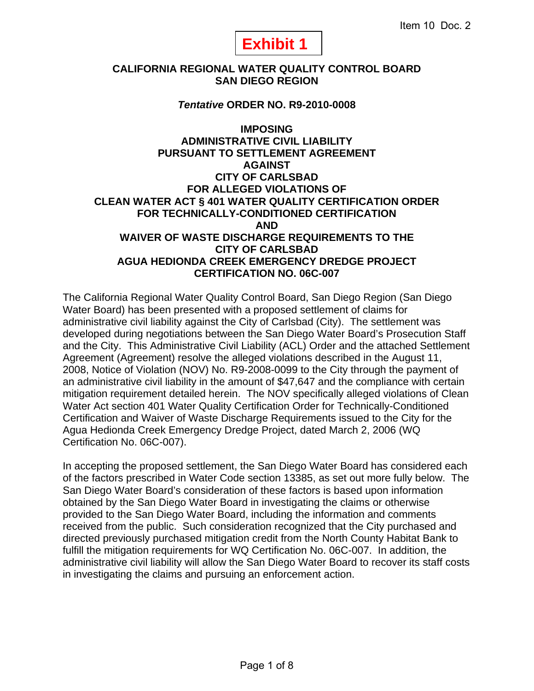# **Exhibit 1**

# **CALIFORNIA REGIONAL WATER QUALITY CONTROL BOARD SAN DIEGO REGION**

#### *Tentative* **ORDER NO. R9-2010-0008**

**IMPOSING ADMINISTRATIVE CIVIL LIABILITY PURSUANT TO SETTLEMENT AGREEMENT AGAINST CITY OF CARLSBAD FOR ALLEGED VIOLATIONS OF CLEAN WATER ACT § 401 WATER QUALITY CERTIFICATION ORDER FOR TECHNICALLY-CONDITIONED CERTIFICATION AND WAIVER OF WASTE DISCHARGE REQUIREMENTS TO THE CITY OF CARLSBAD AGUA HEDIONDA CREEK EMERGENCY DREDGE PROJECT CERTIFICATION NO. 06C-007** 

The California Regional Water Quality Control Board, San Diego Region (San Diego Water Board) has been presented with a proposed settlement of claims for administrative civil liability against the City of Carlsbad (City). The settlement was developed during negotiations between the San Diego Water Board's Prosecution Staff and the City. This Administrative Civil Liability (ACL) Order and the attached Settlement Agreement (Agreement) resolve the alleged violations described in the August 11, 2008, Notice of Violation (NOV) No. R9-2008-0099 to the City through the payment of an administrative civil liability in the amount of \$47,647 and the compliance with certain mitigation requirement detailed herein. The NOV specifically alleged violations of Clean Water Act section 401 Water Quality Certification Order for Technically-Conditioned Certification and Waiver of Waste Discharge Requirements issued to the City for the Agua Hedionda Creek Emergency Dredge Project, dated March 2, 2006 (WQ Certification No. 06C-007).

In accepting the proposed settlement, the San Diego Water Board has considered each of the factors prescribed in Water Code section 13385, as set out more fully below. The San Diego Water Board's consideration of these factors is based upon information obtained by the San Diego Water Board in investigating the claims or otherwise provided to the San Diego Water Board, including the information and comments received from the public. Such consideration recognized that the City purchased and directed previously purchased mitigation credit from the North County Habitat Bank to fulfill the mitigation requirements for WQ Certification No. 06C-007. In addition, the administrative civil liability will allow the San Diego Water Board to recover its staff costs in investigating the claims and pursuing an enforcement action.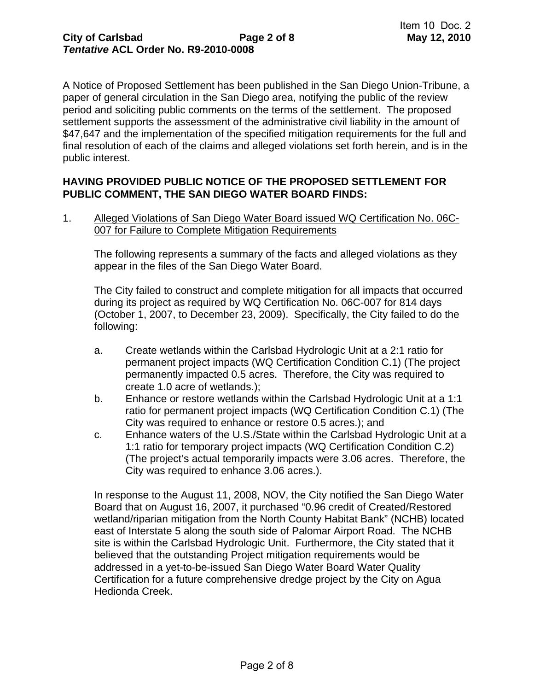A Notice of Proposed Settlement has been published in the San Diego Union-Tribune, a paper of general circulation in the San Diego area, notifying the public of the review period and soliciting public comments on the terms of the settlement. The proposed settlement supports the assessment of the administrative civil liability in the amount of \$47,647 and the implementation of the specified mitigation requirements for the full and final resolution of each of the claims and alleged violations set forth herein, and is in the public interest.

# **HAVING PROVIDED PUBLIC NOTICE OF THE PROPOSED SETTLEMENT FOR PUBLIC COMMENT, THE SAN DIEGO WATER BOARD FINDS:**

1. Alleged Violations of San Diego Water Board issued WQ Certification No. 06C-007 for Failure to Complete Mitigation Requirements

The following represents a summary of the facts and alleged violations as they appear in the files of the San Diego Water Board.

The City failed to construct and complete mitigation for all impacts that occurred during its project as required by WQ Certification No. 06C-007 for 814 days (October 1, 2007, to December 23, 2009). Specifically, the City failed to do the following:

- a. Create wetlands within the Carlsbad Hydrologic Unit at a 2:1 ratio for permanent project impacts (WQ Certification Condition C.1) (The project permanently impacted 0.5 acres. Therefore, the City was required to create 1.0 acre of wetlands.);
- b. Enhance or restore wetlands within the Carlsbad Hydrologic Unit at a 1:1 ratio for permanent project impacts (WQ Certification Condition C.1) (The City was required to enhance or restore 0.5 acres.); and
- c. Enhance waters of the U.S./State within the Carlsbad Hydrologic Unit at a 1:1 ratio for temporary project impacts (WQ Certification Condition C.2) (The project's actual temporarily impacts were 3.06 acres. Therefore, the City was required to enhance 3.06 acres.).

In response to the August 11, 2008, NOV, the City notified the San Diego Water Board that on August 16, 2007, it purchased "0.96 credit of Created/Restored wetland/riparian mitigation from the North County Habitat Bank" (NCHB) located east of Interstate 5 along the south side of Palomar Airport Road. The NCHB site is within the Carlsbad Hydrologic Unit. Furthermore, the City stated that it believed that the outstanding Project mitigation requirements would be addressed in a yet-to-be-issued San Diego Water Board Water Quality Certification for a future comprehensive dredge project by the City on Agua Hedionda Creek.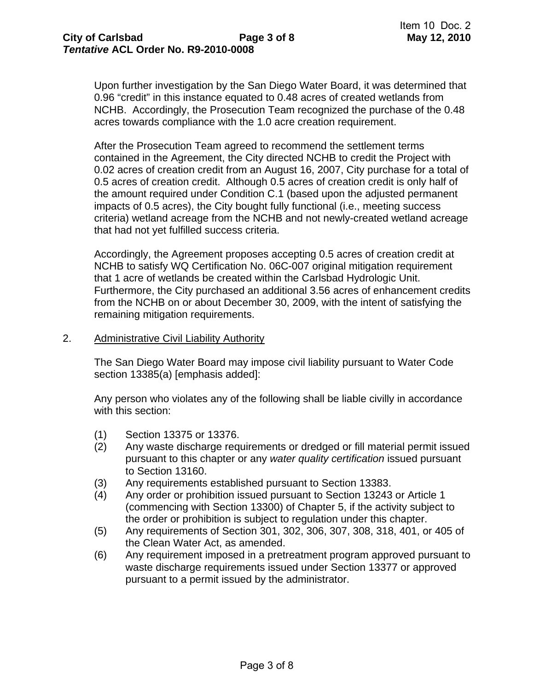Upon further investigation by the San Diego Water Board, it was determined that 0.96 "credit" in this instance equated to 0.48 acres of created wetlands from NCHB. Accordingly, the Prosecution Team recognized the purchase of the 0.48 acres towards compliance with the 1.0 acre creation requirement.

After the Prosecution Team agreed to recommend the settlement terms contained in the Agreement, the City directed NCHB to credit the Project with 0.02 acres of creation credit from an August 16, 2007, City purchase for a total of 0.5 acres of creation credit. Although 0.5 acres of creation credit is only half of the amount required under Condition C.1 (based upon the adjusted permanent impacts of 0.5 acres), the City bought fully functional (i.e., meeting success criteria) wetland acreage from the NCHB and not newly-created wetland acreage that had not yet fulfilled success criteria.

Accordingly, the Agreement proposes accepting 0.5 acres of creation credit at NCHB to satisfy WQ Certification No. 06C-007 original mitigation requirement that 1 acre of wetlands be created within the Carlsbad Hydrologic Unit. Furthermore, the City purchased an additional 3.56 acres of enhancement credits from the NCHB on or about December 30, 2009, with the intent of satisfying the remaining mitigation requirements.

#### 2. Administrative Civil Liability Authority

The San Diego Water Board may impose civil liability pursuant to Water Code section 13385(a) [emphasis added]:

Any person who violates any of the following shall be liable civilly in accordance with this section:

- (1) Section 13375 or 13376.
- (2) Any waste discharge requirements or dredged or fill material permit issued pursuant to this chapter or any *water quality certification* issued pursuant to Section 13160.
- (3) Any requirements established pursuant to Section 13383.
- (4) Any order or prohibition issued pursuant to Section 13243 or Article 1 (commencing with Section 13300) of Chapter 5, if the activity subject to the order or prohibition is subject to regulation under this chapter.
- (5) Any requirements of Section 301, 302, 306, 307, 308, 318, 401, or 405 of the Clean Water Act, as amended.
- (6) Any requirement imposed in a pretreatment program approved pursuant to waste discharge requirements issued under Section 13377 or approved pursuant to a permit issued by the administrator.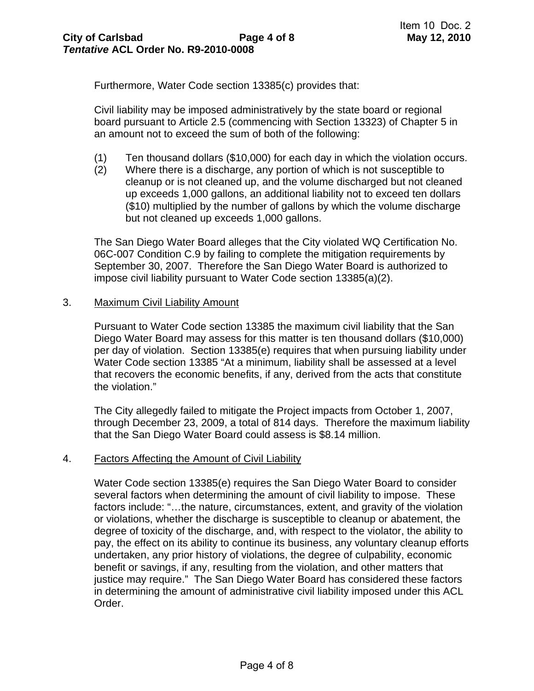Furthermore, Water Code section 13385(c) provides that:

Civil liability may be imposed administratively by the state board or regional board pursuant to Article 2.5 (commencing with Section 13323) of Chapter 5 in an amount not to exceed the sum of both of the following:

- (1) Ten thousand dollars (\$10,000) for each day in which the violation occurs.
- (2) Where there is a discharge, any portion of which is not susceptible to cleanup or is not cleaned up, and the volume discharged but not cleaned up exceeds 1,000 gallons, an additional liability not to exceed ten dollars (\$10) multiplied by the number of gallons by which the volume discharge but not cleaned up exceeds 1,000 gallons.

The San Diego Water Board alleges that the City violated WQ Certification No. 06C-007 Condition C.9 by failing to complete the mitigation requirements by September 30, 2007. Therefore the San Diego Water Board is authorized to impose civil liability pursuant to Water Code section 13385(a)(2).

#### 3. Maximum Civil Liability Amount

Pursuant to Water Code section 13385 the maximum civil liability that the San Diego Water Board may assess for this matter is ten thousand dollars (\$10,000) per day of violation. Section 13385(e) requires that when pursuing liability under Water Code section 13385 "At a minimum, liability shall be assessed at a level that recovers the economic benefits, if any, derived from the acts that constitute the violation."

The City allegedly failed to mitigate the Project impacts from October 1, 2007, through December 23, 2009, a total of 814 days. Therefore the maximum liability that the San Diego Water Board could assess is \$8.14 million.

#### 4. Factors Affecting the Amount of Civil Liability

Water Code section 13385(e) requires the San Diego Water Board to consider several factors when determining the amount of civil liability to impose. These factors include: "…the nature, circumstances, extent, and gravity of the violation or violations, whether the discharge is susceptible to cleanup or abatement, the degree of toxicity of the discharge, and, with respect to the violator, the ability to pay, the effect on its ability to continue its business, any voluntary cleanup efforts undertaken, any prior history of violations, the degree of culpability, economic benefit or savings, if any, resulting from the violation, and other matters that justice may require." The San Diego Water Board has considered these factors in determining the amount of administrative civil liability imposed under this ACL Order.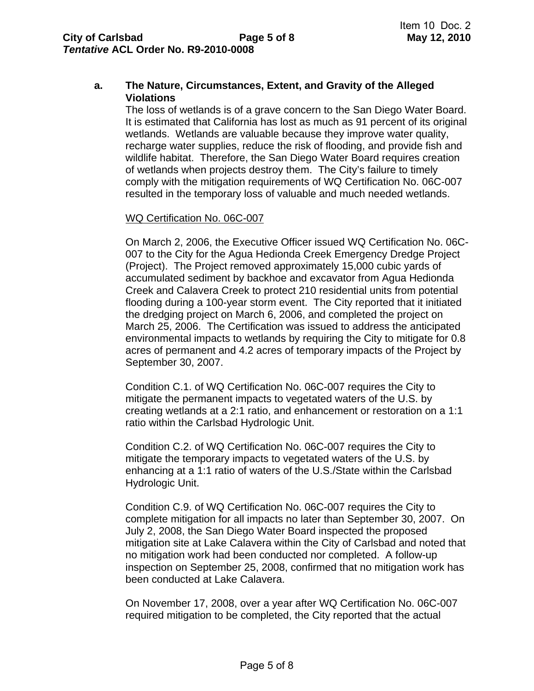# **a. The Nature, Circumstances, Extent, and Gravity of the Alleged Violations**

The loss of wetlands is of a grave concern to the San Diego Water Board. It is estimated that California has lost as much as 91 percent of its original wetlands. Wetlands are valuable because they improve water quality, recharge water supplies, reduce the risk of flooding, and provide fish and wildlife habitat. Therefore, the San Diego Water Board requires creation of wetlands when projects destroy them. The City's failure to timely comply with the mitigation requirements of WQ Certification No. 06C-007 resulted in the temporary loss of valuable and much needed wetlands.

#### WQ Certification No. 06C-007

On March 2, 2006, the Executive Officer issued WQ Certification No. 06C-007 to the City for the Agua Hedionda Creek Emergency Dredge Project (Project). The Project removed approximately 15,000 cubic yards of accumulated sediment by backhoe and excavator from Agua Hedionda Creek and Calavera Creek to protect 210 residential units from potential flooding during a 100-year storm event. The City reported that it initiated the dredging project on March 6, 2006, and completed the project on March 25, 2006. The Certification was issued to address the anticipated environmental impacts to wetlands by requiring the City to mitigate for 0.8 acres of permanent and 4.2 acres of temporary impacts of the Project by September 30, 2007.

Condition C.1. of WQ Certification No. 06C-007 requires the City to mitigate the permanent impacts to vegetated waters of the U.S. by creating wetlands at a 2:1 ratio, and enhancement or restoration on a 1:1 ratio within the Carlsbad Hydrologic Unit.

Condition C.2. of WQ Certification No. 06C-007 requires the City to mitigate the temporary impacts to vegetated waters of the U.S. by enhancing at a 1:1 ratio of waters of the U.S./State within the Carlsbad Hydrologic Unit.

Condition C.9. of WQ Certification No. 06C-007 requires the City to complete mitigation for all impacts no later than September 30, 2007. On July 2, 2008, the San Diego Water Board inspected the proposed mitigation site at Lake Calavera within the City of Carlsbad and noted that no mitigation work had been conducted nor completed. A follow-up inspection on September 25, 2008, confirmed that no mitigation work has been conducted at Lake Calavera.

On November 17, 2008, over a year after WQ Certification No. 06C-007 required mitigation to be completed, the City reported that the actual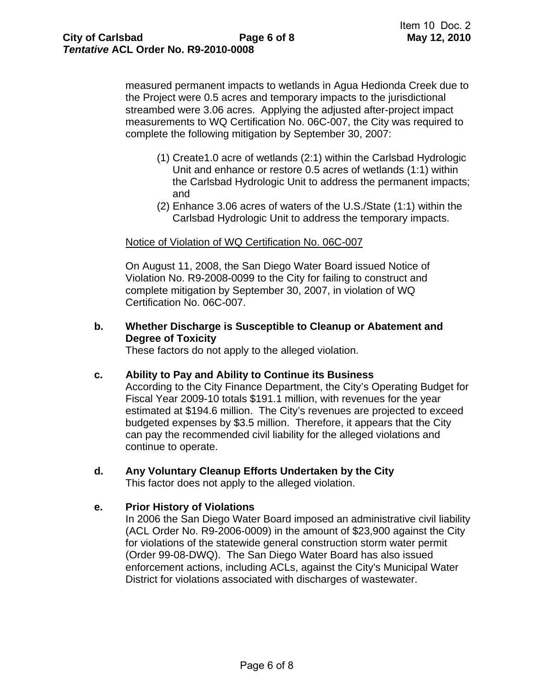measured permanent impacts to wetlands in Agua Hedionda Creek due to the Project were 0.5 acres and temporary impacts to the jurisdictional streambed were 3.06 acres. Applying the adjusted after-project impact measurements to WQ Certification No. 06C-007, the City was required to complete the following mitigation by September 30, 2007:

- (1) Create1.0 acre of wetlands (2:1) within the Carlsbad Hydrologic Unit and enhance or restore 0.5 acres of wetlands (1:1) within the Carlsbad Hydrologic Unit to address the permanent impacts; and
- (2) Enhance 3.06 acres of waters of the U.S./State (1:1) within the Carlsbad Hydrologic Unit to address the temporary impacts.

#### Notice of Violation of WQ Certification No. 06C-007

On August 11, 2008, the San Diego Water Board issued Notice of Violation No. R9-2008-0099 to the City for failing to construct and complete mitigation by September 30, 2007, in violation of WQ Certification No. 06C-007.

# **b. Whether Discharge is Susceptible to Cleanup or Abatement and Degree of Toxicity**

These factors do not apply to the alleged violation.

#### **c. Ability to Pay and Ability to Continue its Business**

According to the City Finance Department, the City's Operating Budget for Fiscal Year 2009-10 totals \$191.1 million, with revenues for the year estimated at \$194.6 million. The City's revenues are projected to exceed budgeted expenses by \$3.5 million. Therefore, it appears that the City can pay the recommended civil liability for the alleged violations and continue to operate.

# **d. Any Voluntary Cleanup Efforts Undertaken by the City**

This factor does not apply to the alleged violation.

#### **e. Prior History of Violations**

In 2006 the San Diego Water Board imposed an administrative civil liability (ACL Order No. R9-2006-0009) in the amount of \$23,900 against the City for violations of the statewide general construction storm water permit (Order 99-08-DWQ). The San Diego Water Board has also issued enforcement actions, including ACLs, against the City's Municipal Water District for violations associated with discharges of wastewater.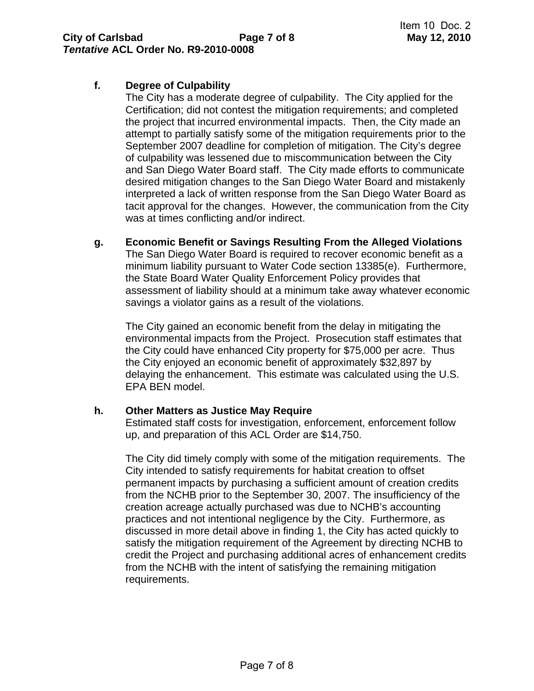# **f. Degree of Culpability**

The City has a moderate degree of culpability. The City applied for the Certification; did not contest the mitigation requirements; and completed the project that incurred environmental impacts. Then, the City made an attempt to partially satisfy some of the mitigation requirements prior to the September 2007 deadline for completion of mitigation. The City's degree of culpability was lessened due to miscommunication between the City and San Diego Water Board staff. The City made efforts to communicate desired mitigation changes to the San Diego Water Board and mistakenly interpreted a lack of written response from the San Diego Water Board as tacit approval for the changes. However, the communication from the City was at times conflicting and/or indirect.

**g. Economic Benefit or Savings Resulting From the Alleged Violations**  The San Diego Water Board is required to recover economic benefit as a minimum liability pursuant to Water Code section 13385(e). Furthermore, the State Board Water Quality Enforcement Policy provides that assessment of liability should at a minimum take away whatever economic savings a violator gains as a result of the violations.

The City gained an economic benefit from the delay in mitigating the environmental impacts from the Project. Prosecution staff estimates that the City could have enhanced City property for \$75,000 per acre. Thus the City enjoyed an economic benefit of approximately \$32,897 by delaying the enhancement. This estimate was calculated using the U.S. EPA BEN model.

# **h. Other Matters as Justice May Require**

Estimated staff costs for investigation, enforcement, enforcement follow up, and preparation of this ACL Order are \$14,750.

The City did timely comply with some of the mitigation requirements. The City intended to satisfy requirements for habitat creation to offset permanent impacts by purchasing a sufficient amount of creation credits from the NCHB prior to the September 30, 2007. The insufficiency of the creation acreage actually purchased was due to NCHB's accounting practices and not intentional negligence by the City. Furthermore, as discussed in more detail above in finding 1, the City has acted quickly to satisfy the mitigation requirement of the Agreement by directing NCHB to credit the Project and purchasing additional acres of enhancement credits from the NCHB with the intent of satisfying the remaining mitigation requirements.